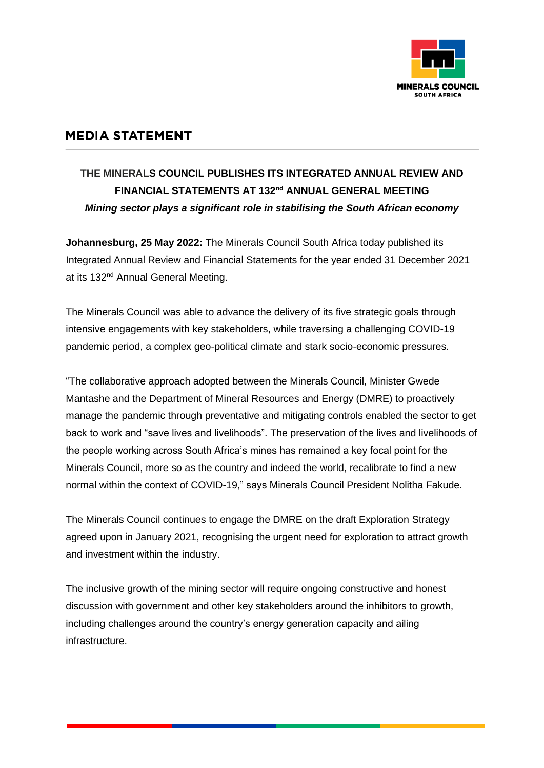

## **MEDIA STATEMENT**

## **THE MINERALS COUNCIL PUBLISHES ITS INTEGRATED ANNUAL REVIEW AND FINANCIAL STATEMENTS AT 132 nd ANNUAL GENERAL MEETING** *Mining sector plays a significant role in stabilising the South African economy*

**Johannesburg, 25 May 2022:** The Minerals Council South Africa today published its Integrated Annual Review and Financial Statements for the year ended 31 December 2021 at its 132<sup>nd</sup> Annual General Meeting.

The Minerals Council was able to advance the delivery of its five strategic goals through intensive engagements with key stakeholders, while traversing a challenging COVID-19 pandemic period, a complex geo-political climate and stark socio-economic pressures.

"The collaborative approach adopted between the Minerals Council, Minister Gwede Mantashe and the Department of Mineral Resources and Energy (DMRE) to proactively manage the pandemic through preventative and mitigating controls enabled the sector to get back to work and "save lives and livelihoods". The preservation of the lives and livelihoods of the people working across South Africa's mines has remained a key focal point for the Minerals Council, more so as the country and indeed the world, recalibrate to find a new normal within the context of COVID-19," says Minerals Council President Nolitha Fakude.

The Minerals Council continues to engage the DMRE on the draft Exploration Strategy agreed upon in January 2021, recognising the urgent need for exploration to attract growth and investment within the industry.

The inclusive growth of the mining sector will require ongoing constructive and honest discussion with government and other key stakeholders around the inhibitors to growth, including challenges around the country's energy generation capacity and ailing infrastructure.